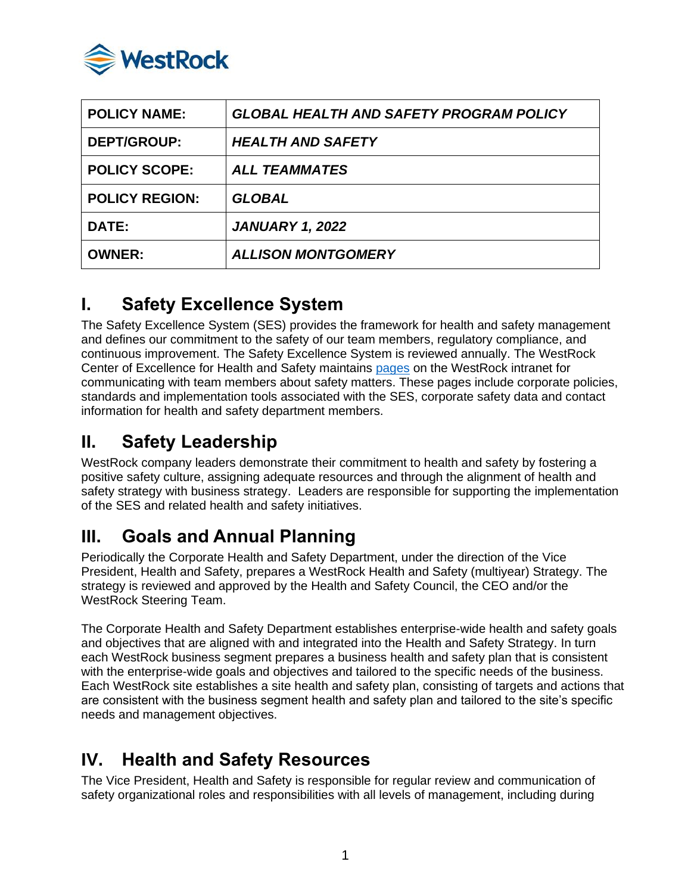

| <b>POLICY NAME:</b>   | <b>GLOBAL HEALTH AND SAFETY PROGRAM POLICY</b> |
|-----------------------|------------------------------------------------|
| <b>DEPT/GROUP:</b>    | <b>HEALTH AND SAFETY</b>                       |
| <b>POLICY SCOPE:</b>  | <b>ALL TEAMMATES</b>                           |
| <b>POLICY REGION:</b> | <b>GLOBAL</b>                                  |
| <b>DATE:</b>          | <b>JANUARY 1, 2022</b>                         |
| <b>OWNER:</b>         | <b>ALLISON MONTGOMERY</b>                      |

### **I. Safety Excellence System**

The Safety Excellence System (SES) provides the framework for health and safety management and defines our commitment to the safety of our team members, regulatory compliance, and continuous improvement. The Safety Excellence System is reviewed annually. The WestRock Center of Excellence for Health and Safety maintains [pages](https://westrockco.sharepoint.com/sites/SafetyHealth/SitePages/Home.aspx) on the WestRock intranet for communicating with team members about safety matters. These pages include corporate policies, standards and implementation tools associated with the SES, corporate safety data and contact information for health and safety department members.

#### **II. Safety Leadership**

WestRock company leaders demonstrate their commitment to health and safety by fostering a positive safety culture, assigning adequate resources and through the alignment of health and safety strategy with business strategy. Leaders are responsible for supporting the implementation of the SES and related health and safety initiatives.

## **III. Goals and Annual Planning**

Periodically the Corporate Health and Safety Department, under the direction of the Vice President, Health and Safety, prepares a WestRock Health and Safety (multiyear) Strategy. The strategy is reviewed and approved by the Health and Safety Council, the CEO and/or the WestRock Steering Team.

The Corporate Health and Safety Department establishes enterprise-wide health and safety goals and objectives that are aligned with and integrated into the Health and Safety Strategy. In turn each WestRock business segment prepares a business health and safety plan that is consistent with the enterprise-wide goals and objectives and tailored to the specific needs of the business. Each WestRock site establishes a site health and safety plan, consisting of targets and actions that are consistent with the business segment health and safety plan and tailored to the site's specific needs and management objectives.

## **IV. Health and Safety Resources**

The Vice President, Health and Safety is responsible for regular review and communication of safety organizational roles and responsibilities with all levels of management, including during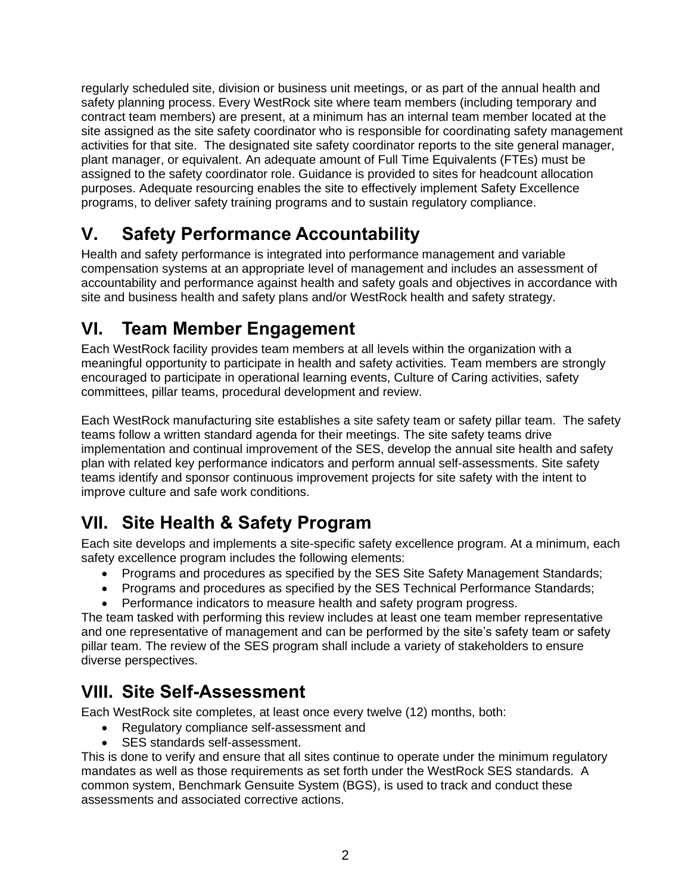regularly scheduled site, division or business unit meetings, or as part of the annual health and safety planning process. Every WestRock site where team members (including temporary and contract team members) are present, at a minimum has an internal team member located at the site assigned as the site safety coordinator who is responsible for coordinating safety management activities for that site. The designated site safety coordinator reports to the site general manager, plant manager, or equivalent. An adequate amount of Full Time Equivalents (FTEs) must be assigned to the safety coordinator role. Guidance is provided to sites for headcount allocation purposes. Adequate resourcing enables the site to effectively implement Safety Excellence programs, to deliver safety training programs and to sustain regulatory compliance.

# **V. Safety Performance Accountability**

Health and safety performance is integrated into performance management and variable compensation systems at an appropriate level of management and includes an assessment of accountability and performance against health and safety goals and objectives in accordance with site and business health and safety plans and/or WestRock health and safety strategy.

## **VI. Team Member Engagement**

Each WestRock facility provides team members at all levels within the organization with a meaningful opportunity to participate in health and safety activities. Team members are strongly encouraged to participate in operational learning events, Culture of Caring activities, safety committees, pillar teams, procedural development and review.

Each WestRock manufacturing site establishes a site safety team or safety pillar team. The safety teams follow a written standard agenda for their meetings. The site safety teams drive implementation and continual improvement of the SES, develop the annual site health and safety plan with related key performance indicators and perform annual self-assessments. Site safety teams identify and sponsor continuous improvement projects for site safety with the intent to improve culture and safe work conditions.

## **VII. Site Health & Safety Program**

Each site develops and implements a site-specific safety excellence program. At a minimum, each safety excellence program includes the following elements:

- Programs and procedures as specified by the SES Site Safety Management Standards;
- Programs and procedures as specified by the SES Technical Performance Standards;
- Performance indicators to measure health and safety program progress.

The team tasked with performing this review includes at least one team member representative and one representative of management and can be performed by the site's safety team or safety pillar team. The review of the SES program shall include a variety of stakeholders to ensure diverse perspectives.

## **VIII. Site Self-Assessment**

Each WestRock site completes, at least once every twelve (12) months, both:

- Regulatory compliance self-assessment and
- SES standards self-assessment.

This is done to verify and ensure that all sites continue to operate under the minimum regulatory mandates as well as those requirements as set forth under the WestRock SES standards. A common system, Benchmark Gensuite System (BGS), is used to track and conduct these assessments and associated corrective actions.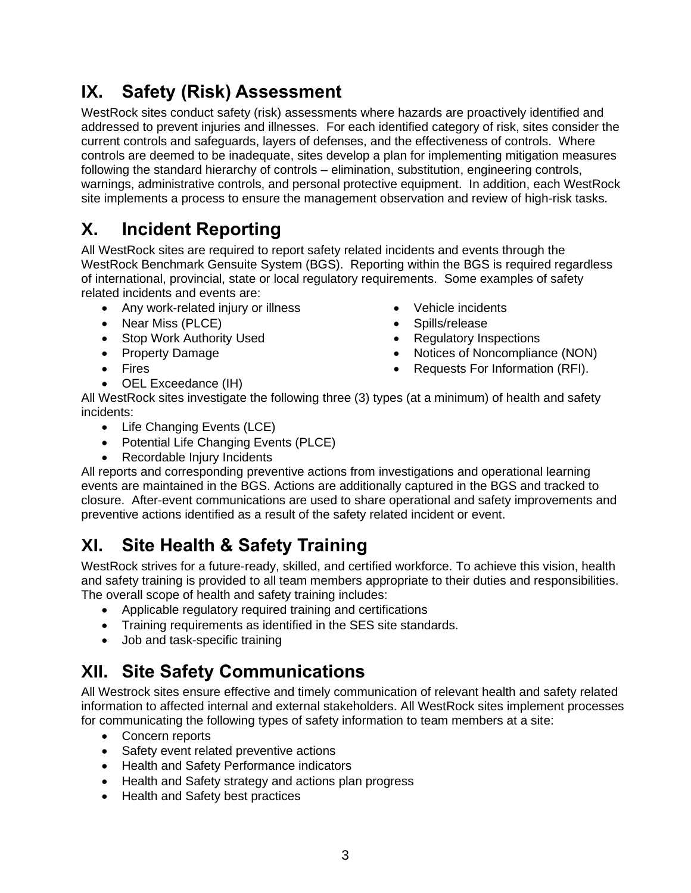## **IX. Safety (Risk) Assessment**

WestRock sites conduct safety (risk) assessments where hazards are proactively identified and addressed to prevent injuries and illnesses. For each identified category of risk, sites consider the current controls and safeguards, layers of defenses, and the effectiveness of controls. Where controls are deemed to be inadequate, sites develop a plan for implementing mitigation measures following the standard hierarchy of controls – elimination, substitution, engineering controls, warnings, administrative controls, and personal protective equipment. In addition, each WestRock site implements a process to ensure the management observation and review of high-risk tasks.

# **X. Incident Reporting**

All WestRock sites are required to report safety related incidents and events through the WestRock Benchmark Gensuite System (BGS). Reporting within the BGS is required regardless of international, provincial, state or local regulatory requirements. Some examples of safety related incidents and events are:

- Any work-related injury or illness
- Near Miss (PLCE)
- Stop Work Authority Used
- Property Damage
- Fires
- OEL Exceedance (IH)
- Vehicle incidents
- Spills/release
- Regulatory Inspections
- Notices of Noncompliance (NON)
- Requests For Information (RFI).
- All WestRock sites investigate the following three (3) types (at a minimum) of health and safety incidents:
	- Life Changing Events (LCE)
	- Potential Life Changing Events (PLCE)
	- Recordable Injury Incidents

All reports and corresponding preventive actions from investigations and operational learning events are maintained in the BGS. Actions are additionally captured in the BGS and tracked to closure. After-event communications are used to share operational and safety improvements and preventive actions identified as a result of the safety related incident or event.

# **XI. Site Health & Safety Training**

WestRock strives for a future-ready, skilled, and certified workforce. To achieve this vision, health and safety training is provided to all team members appropriate to their duties and responsibilities. The overall scope of health and safety training includes:

- Applicable regulatory required training and certifications
- Training requirements as identified in the SES site standards.
- Job and task-specific training

## **XII. Site Safety Communications**

All Westrock sites ensure effective and timely communication of relevant health and safety related information to affected internal and external stakeholders. All WestRock sites implement processes for communicating the following types of safety information to team members at a site:

- Concern reports
- Safety event related preventive actions
- Health and Safety Performance indicators
- Health and Safety strategy and actions plan progress
- Health and Safety best practices